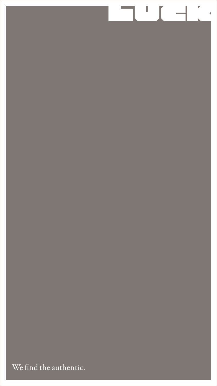We find the authentic.

 $\mathbb{P}$ 

 $\blacktriangleleft$ 

I

I

Г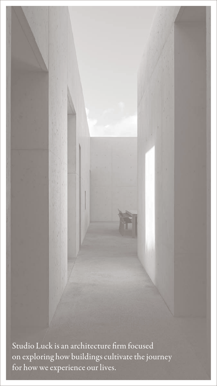Studio Luck is an architecture firm focused on exploring how buildings cultivate the journey for how we experience our lives.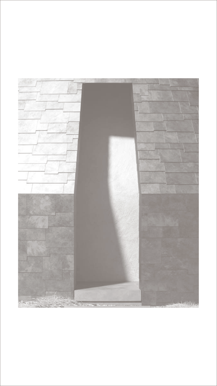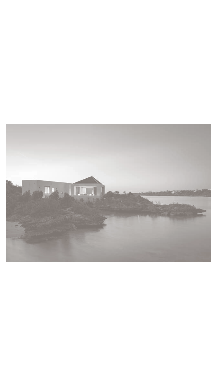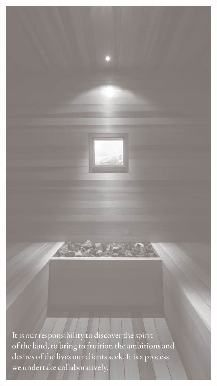It is our responsibility to discover the spirit of the land, to bring to fruition the ambitions and desires of the lives our clients seek. It is a process we undertake collaboratively.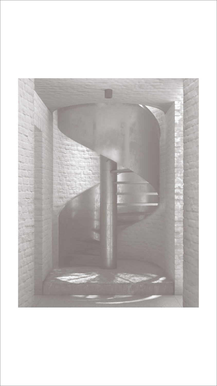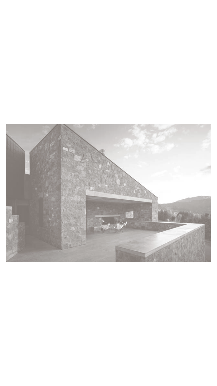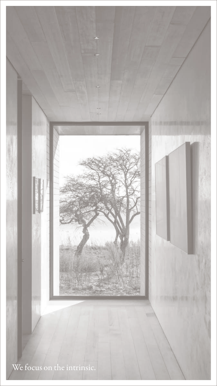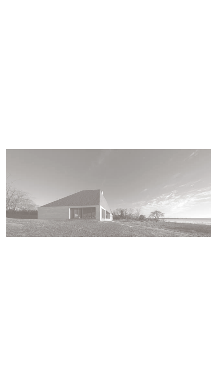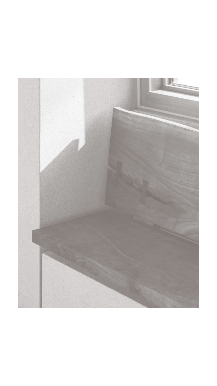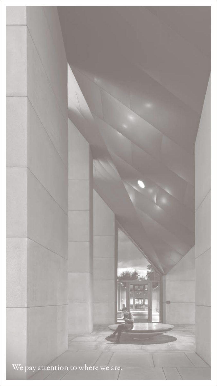We pay attention to where we are.

z,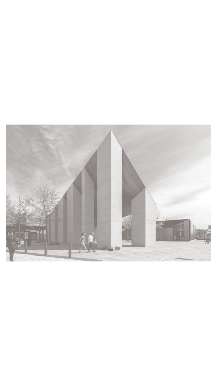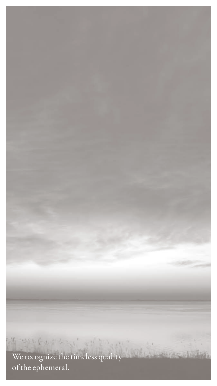We recognize the timeless quality of the ephemeral.

海川 ときをみするたい ながな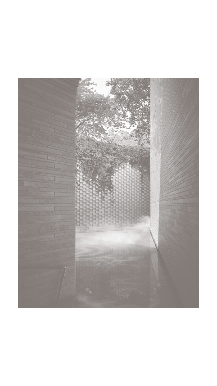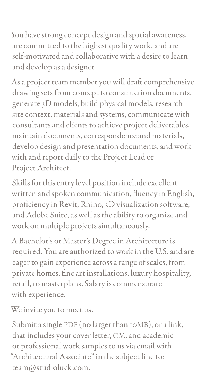You have strong concept design and spatial awareness, are committed to the highest quality work, and are self-motivated and collaborative with a desire to learn and develop as a designer.

As a project team member you will draft comprehensive drawing sets from concept to construction documents, generate 3D models, build physical models, research site context, materials and systems, communicate with consultants and clients to achieve project deliverables, maintain documents, correspondence and materials, develop design and presentation documents, and work with and report daily to the Project Lead or Project Architect.

Skills for this entry level position include excellent written and spoken communication, fluency in English, proficiency in Revit, Rhino, 3D visualization software, and Adobe Suite, as well as the ability to organize and work on multiple projects simultaneously.

A Bachelor's or Master's Degree in Architecture is required. You are authorized to work in the U.S. and are eager to gain experience across a range of scales, from private homes, fine art installations, luxury hospitality, retail, to masterplans. Salary is commensurate with experience.

We invite you to meet us.

Submit a single PDF (no larger than 10MB), or a link, that includes your cover letter, C.V., and academic or professional work samples to us via email with "Architectural Associate" in the subject line to: team@studioluck.com.